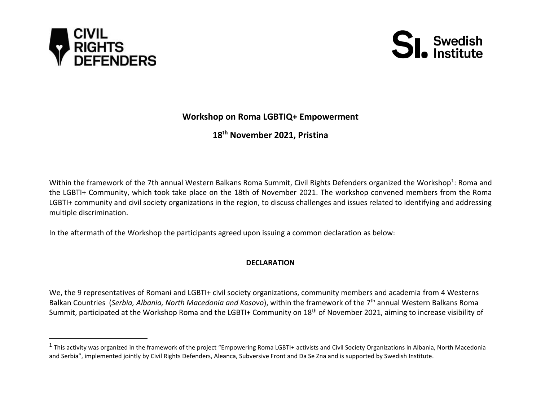



## **Workshop on Roma LGBTIQ+ Empowerment**

**18th November 2021, Pristina** 

Within the framework of the 7th annual Western Balkans Roma Summit, Civil Rights Defenders organized the Workshop<sup>1</sup>: Roma and the LGBTI+ Community, which took take place on the 18th of November 2021. The workshop convened members from the Roma LGBTI+ community and civil society organizations in the region, to discuss challenges and issues related to identifying and addressing multiple discrimination.

In the aftermath of the Workshop the participants agreed upon issuing a common declaration as below:

## **DECLARATION**

We, the 9 representatives of Romani and LGBTI+ civil society organizations, community members and academia from 4 Westerns Balkan Countries (*Serbia, Albania, North Macedonia and Kosovo*), within the framework of the 7 th annual Western Balkans Roma Summit, participated at the Workshop Roma and the LGBTI+ Community on 18<sup>th</sup> of November 2021, aiming to increase visibility of

 $^1$  This activity was organized in the framework of the project "Empowering Roma LGBTI+ activists and Civil Society Organizations in Albania, North Macedonia and Serbia", implemented jointly by Civil Rights Defenders, Aleanca, Subversive Front and Da Se Zna and is supported by Swedish Institute.